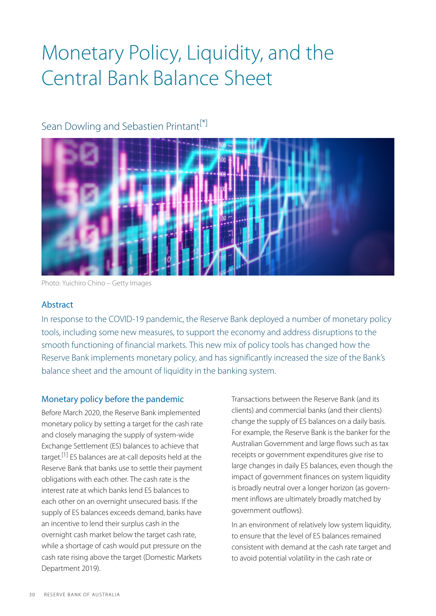# Monetary Policy, Liquidity, and the Central Bank Balance Sheet

# <span id="page-0-0"></span>Sean Dowling and Sebastien Printant<sup>[\*]</sup>



Photo: Yuichiro Chino – Getty Images

# Abstract

In response to the COVID-19 pandemic, the Reserve Bank deployed a number of monetary policy tools, including some new measures, to support the economy and address disruptions to the smooth functioning of financial markets. This new mix of policy tools has changed how the Reserve Bank implements monetary policy, and has significantly increased the size of the Bank's balance sheet and the amount of liquidity in the banking system.

# Monetary policy before the pandemic

<span id="page-0-1"></span>Before March 2020, the Reserve Bank implemented monetary policy by setting a target for the cash rate and closely managing the supply of system-wide Exchange Settlement (ES) balances to achieve that target.<sup>[\[1\]](#page-6-1)</sup> ES balances are at-call deposits held at the Reserve Bank that banks use to settle their payment obligations with each other. The cash rate is the interest rate at which banks lend ES balances to each other on an overnight unsecured basis. If the supply of ES balances exceeds demand, banks have an incentive to lend their surplus cash in the overnight cash market below the target cash rate, while a shortage of cash would put pressure on the cash rate rising above the target (Domestic Markets Department 2019).

Transactions between the Reserve Bank (and its clients) and commercial banks (and their clients) change the supply of ES balances on a daily basis. For example, the Reserve Bank is the banker for the Australian Government and large flows such as tax receipts or government expenditures give rise to large changes in daily ES balances, even though the impact of government finances on system liquidity is broadly neutral over a longer horizon (as government inflows are ultimately broadly matched by government outflows).

In an environment of relatively low system liquidity, to ensure that the level of ES balances remained consistent with demand at the cash rate target and to avoid potential volatility in the cash rate or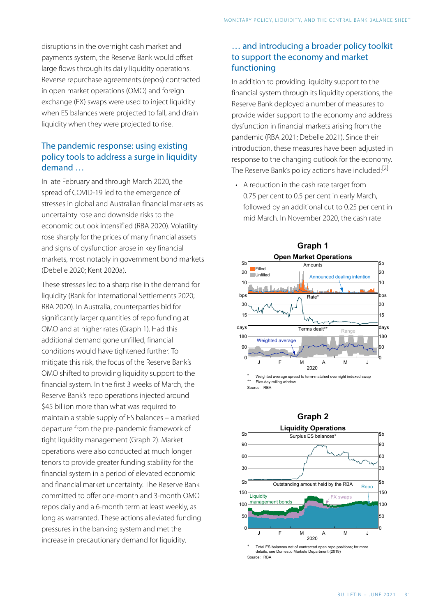disruptions in the overnight cash market and payments system, the Reserve Bank would offset large flows through its daily liquidity operations. Reverse repurchase agreements (repos) contracted in open market operations (OMO) and foreign exchange (FX) swaps were used to inject liquidity when ES balances were projected to fall, and drain liquidity when they were projected to rise.

# The pandemic response: using existing policy tools to address a surge in liquidity demand …

<span id="page-1-0"></span>In late February and through March 2020, the spread of COVID-19 led to the emergence of stresses in global and Australian financial markets as uncertainty rose and downside risks to the economic outlook intensified (RBA 2020). Volatility rose sharply for the prices of many financial assets and signs of dysfunction arose in key financial markets, most notably in government bond markets (Debelle 2020; Kent 2020a).

These stresses led to a sharp rise in the demand for liquidity (Bank for International Settlements 2020; RBA 2020). In Australia, counterparties bid for significantly larger quantities of repo funding at OMO and at higher rates (Graph 1). Had this additional demand gone unfilled, financial conditions would have tightened further. To mitigate this risk, the focus of the Reserve Bank's OMO shifted to providing liquidity support to the financial system. In the first 3 weeks of March, the Reserve Bank's repo operations injected around \$45 billion more than what was required to maintain a stable supply of ES balances – a marked departure from the pre-pandemic framework of tight liquidity management (Graph 2). Market operations were also conducted at much longer tenors to provide greater funding stability for the financial system in a period of elevated economic and financial market uncertainty. The Reserve Bank committed to offer one-month and 3-month OMO repos daily and a 6-month term at least weekly, as long as warranted. These actions alleviated funding pressures in the banking system and met the increase in precautionary demand for liquidity.

# … and introducing a broader policy toolkit to support the economy and market functioning

In addition to providing liquidity support to the financial system through its liquidity operations, the Reserve Bank deployed a number of measures to provide wider support to the economy and address dysfunction in financial markets arising from the pandemic (RBA 2021; Debelle 2021). Since their introduction, these measures have been adjusted in response to the changing outlook for the economy. The Reserve Bank's policy actions have included:<sup>[2]</sup>

• A reduction in the cash rate target from 0.75 per cent to 0.5 per cent in early March, followed by an additional cut to 0.25 per cent in mid March. In November 2020, the cash rate





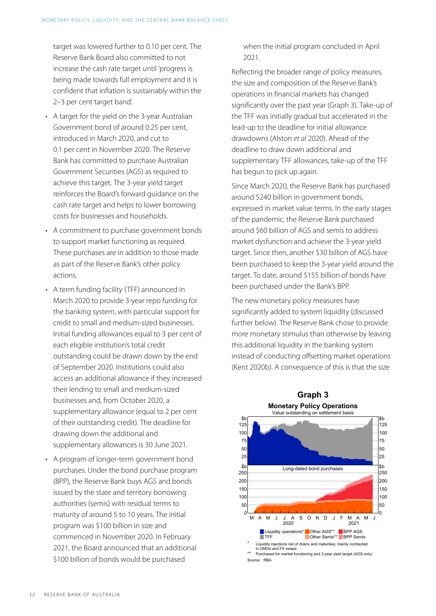target was lowered further to 0.10 per cent. The Reserve Bank Board also committed to not increase the cash rate target until 'progress is being made towards full employment and it is confident that inflation is sustainably within the 2–3 per cent target band'.

- A target for the yield on the 3-year Australian Government bond of around 0.25 per cent, introduced in March 2020, and cut to 0.1 per cent in November 2020. The Reserve Bank has committed to purchase Australian Government Securities (AGS) as required to achieve this target. The 3-year yield target reinforces the Board's forward guidance on the cash rate target and helps to lower borrowing costs for businesses and households.
- A commitment to purchase government bonds to support market functioning as required. These purchases are in addition to those made as part of the Reserve Bank's other policy actions.
- A term funding facility (TFF) announced in March 2020 to provide 3-year repo funding for the banking system, with particular support for credit to small and medium-sized businesses. Initial funding allowances equal to 3 per cent of each eligible institution's total credit outstanding could be drawn down by the end of September 2020. Institutions could also access an additional allowance if they increased their lending to small and medium-sized businesses and, from October 2020, a supplementary allowance (equal to 2 per cent of their outstanding credit). The deadline for drawing down the additional and supplementary allowances is 30 June 2021.
- A program of longer-term government bond purchases. Under the bond purchase program (BPP), the Reserve Bank buys AGS and bonds issued by the state and territory borrowing authorities (semis) with residual terms to maturity of around 5 to 10 years. The initial program was \$100 billion in size and commenced in November 2020. In February 2021, the Board announced that an additional \$100 billion of bonds would be purchased

when the initial program concluded in April 2021.

Reflecting the broader range of policy measures, the size and composition of the Reserve Bank's operations in financial markets has changed significantly over the past year (Graph 3). Take-up of the TFF was initially gradual but accelerated in the lead-up to the deadline for initial allowance drawdowns (Alston *et al* 2020). Ahead of the deadline to draw down additional and supplementary TFF allowances, take-up of the TFF has begun to pick up again.

Since March 2020, the Reserve Bank has purchased around \$240 billion in government bonds, expressed in market value terms. In the early stages of the pandemic, the Reserve Bank purchased around \$60 billion of AGS and semis to address market dysfunction and achieve the 3-year yield target. Since then, another \$30 billion of AGS have been purchased to keep the 3-year yield around the target. To date, around \$155 billion of bonds have been purchased under the Bank's BPP.

The new monetary policy measures have significantly added to system liquidity (discussed further below). The Reserve Bank chose to provide more monetary stimulus than otherwise by leaving this additional liquidity in the banking system instead of conducting offsetting market operations (Kent 2020b). A consequence of this is that the size

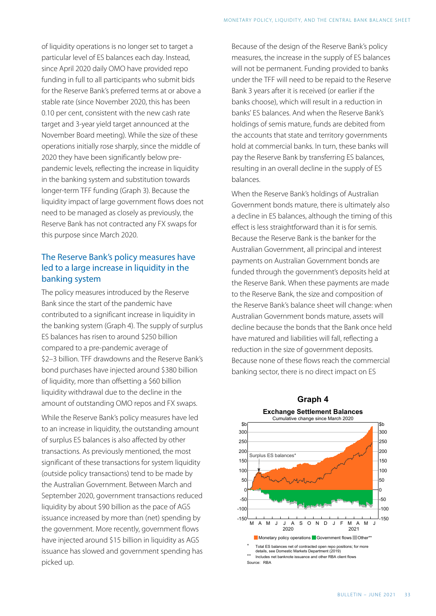of liquidity operations is no longer set to target a particular level of ES balances each day. Instead, since April 2020 daily OMO have provided repo funding in full to all participants who submit bids for the Reserve Bank's preferred terms at or above a stable rate (since November 2020, this has been 0.10 per cent, consistent with the new cash rate target and 3-year yield target announced at the November Board meeting). While the size of these operations initially rose sharply, since the middle of 2020 they have been significantly below prepandemic levels, reflecting the increase in liquidity in the banking system and substitution towards longer-term TFF funding (Graph 3). Because the liquidity impact of large government flows does not need to be managed as closely as previously, the Reserve Bank has not contracted any FX swaps for this purpose since March 2020.

# The Reserve Bank's policy measures have led to a large increase in liquidity in the banking system

The policy measures introduced by the Reserve Bank since the start of the pandemic have contributed to a significant increase in liquidity in the banking system (Graph 4). The supply of surplus ES balances has risen to around \$250 billion compared to a pre-pandemic average of \$2–3 billion. TFF drawdowns and the Reserve Bank's bond purchases have injected around \$380 billion of liquidity, more than offsetting a \$60 billion liquidity withdrawal due to the decline in the amount of outstanding OMO repos and FX swaps.

While the Reserve Bank's policy measures have led to an increase in liquidity, the outstanding amount of surplus ES balances is also affected by other transactions. As previously mentioned, the most significant of these transactions for system liquidity (outside policy transactions) tend to be made by the Australian Government. Between March and September 2020, government transactions reduced liquidity by about \$90 billion as the pace of AGS issuance increased by more than (net) spending by the government. More recently, government flows have injected around \$15 billion in liquidity as AGS issuance has slowed and government spending has picked up.

Because of the design of the Reserve Bank's policy measures, the increase in the supply of ES balances will not be permanent. Funding provided to banks under the TFF will need to be repaid to the Reserve Bank 3 years after it is received (or earlier if the banks choose), which will result in a reduction in banks' ES balances. And when the Reserve Bank's holdings of semis mature, funds are debited from the accounts that state and territory governments hold at commercial banks. In turn, these banks will pay the Reserve Bank by transferring ES balances, resulting in an overall decline in the supply of ES balances.

When the Reserve Bank's holdings of Australian Government bonds mature, there is ultimately also a decline in ES balances, although the timing of this effect is less straightforward than it is for semis. Because the Reserve Bank is the banker for the Australian Government, all principal and interest payments on Australian Government bonds are funded through the government's deposits held at the Reserve Bank. When these payments are made to the Reserve Bank, the size and composition of the Reserve Bank's balance sheet will change: when Australian Government bonds mature, assets will decline because the bonds that the Bank once held have matured and liabilities will fall, reflecting a reduction in the size of government deposits. Because none of these flows reach the commercial banking sector, there is no direct impact on ES



# **Graph 4**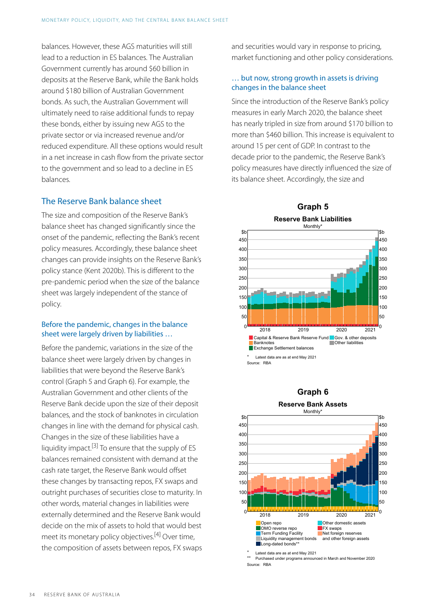balances. However, these AGS maturities will still lead to a reduction in ES balances. The Australian Government currently has around \$60 billion in deposits at the Reserve Bank, while the Bank holds around \$180 billion of Australian Government bonds. As such, the Australian Government will ultimately need to raise additional funds to repay these bonds, either by issuing new AGS to the private sector or via increased revenue and/or reduced expenditure. All these options would result in a net increase in cash flow from the private sector to the government and so lead to a decline in ES balances.

#### The Reserve Bank balance sheet

The size and composition of the Reserve Bank's balance sheet has changed significantly since the onset of the pandemic, reflecting the Bank's recent policy measures. Accordingly, these balance sheet changes can provide insights on the Reserve Bank's policy stance (Kent 2020b). This is different to the pre-pandemic period when the size of the balance sheet was largely independent of the stance of policy.

#### Before the pandemic, changes in the balance sheet were largely driven by liabilities …

<span id="page-4-1"></span><span id="page-4-0"></span>Before the pandemic, variations in the size of the balance sheet were largely driven by changes in liabilities that were beyond the Reserve Bank's control (Graph 5 and Graph 6). For example, the Australian Government and other clients of the Reserve Bank decide upon the size of their deposit balances, and the stock of banknotes in circulation changes in line with the demand for physical cash. Changes in the size of these liabilities have a liquidity impact.[\[3\]](#page-6-3) To ensure that the supply of ES balances remained consistent with demand at the cash rate target, the Reserve Bank would offset these changes by transacting repos, FX swaps and outright purchases of securities close to maturity. In other words, material changes in liabilities were externally determined and the Reserve Bank would decide on the mix of assets to hold that would best meet its monetary policy objectives. [\[4\]](#page-6-4) Over time, the composition of assets between repos, FX swaps

and securities would vary in response to pricing, market functioning and other policy considerations.

#### … but now, strong growth in assets is driving changes in the balance sheet

Since the introduction of the Reserve Bank's policy measures in early March 2020, the balance sheet has nearly tripled in size from around \$170 billion to more than \$460 billion. This increase is equivalent to around 15 per cent of GDP. In contrast to the decade prior to the pandemic, the Reserve Bank's policy measures have directly influenced the size of its balance sheet. Accordingly, the size and



#### **Graph 6**



Purchased under programs announced in March and November 2020 Source: RBA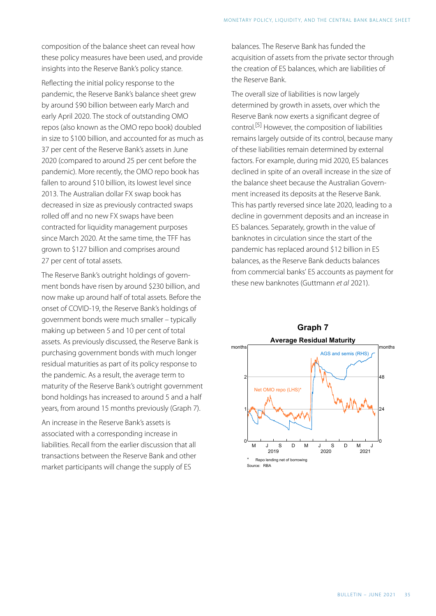composition of the balance sheet can reveal how these policy measures have been used, and provide insights into the Reserve Bank's policy stance.

<span id="page-5-0"></span>Reflecting the initial policy response to the pandemic, the Reserve Bank's balance sheet grew by around \$90 billion between early March and early April 2020. The stock of outstanding OMO repos (also known as the OMO repo book) doubled in size to \$100 billion, and accounted for as much as 37 per cent of the Reserve Bank's assets in June 2020 (compared to around 25 per cent before the pandemic). More recently, the OMO repo book has fallen to around \$10 billion, its lowest level since 2013. The Australian dollar FX swap book has decreased in size as previously contracted swaps rolled off and no new FX swaps have been contracted for liquidity management purposes since March 2020. At the same time, the TFF has grown to \$127 billion and comprises around 27 per cent of total assets.

The Reserve Bank's outright holdings of government bonds have risen by around \$230 billion, and now make up around half of total assets. Before the onset of COVID-19 , the Reserve Bank's holdings of government bonds were much smaller – typically making up between 5 and 10 per cent of total assets. As previously discussed, the Reserve Bank is purchasing government bonds with much longer residual maturities as part of its policy response to the pandemic. As a result, the average term to maturity of the Reserve Bank's outright government bond holdings has increased to around 5 and a half years, from around 15 months previously (Graph 7).

An increase in the Reserve Bank's assets is associated with a corresponding increase in liabilities. Recall from the earlier discussion that all transactions between the Reserve Bank and other market participants will change the supply of ES

balances. The Reserve Bank has funded the acquisition of assets from the private sector through the creation of ES balances, which are liabilities of the Reserve Bank.

The overall size of liabilities is now largely determined by growth in assets, over which the Reserve Bank now exerts a significant degree of control. [\[5\]](#page-6-5) However, the composition of liabilities remains largely outside of its control, because many of these liabilities remain determined by external factors. For example, during mid 2020, ES balances declined in spite of an overall increase in the size of the balance sheet because the Australian Government increased its deposits at the Reserve Bank. This has partly reversed since late 2020, leading to a decline in government deposits and an increase in ES balances. Separately, growth in the value of banknotes in circulation since the start of the pandemic has replaced around \$12 billion in ES balances, as the Reserve Bank deducts balances from commercial banks' ES accounts as payment for these new banknotes (Guttmann *et al* 2021).

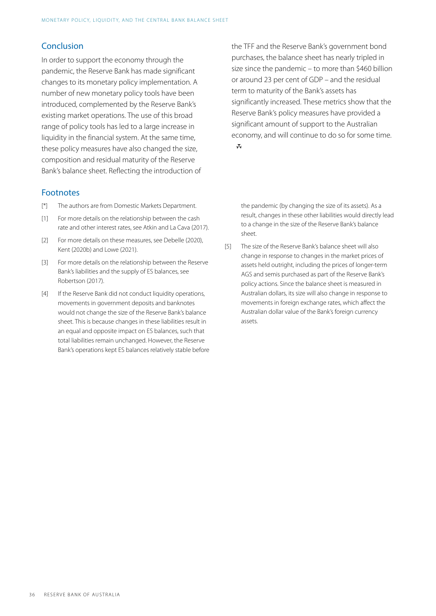# Conclusion

In order to support the economy through the pandemic, the Reserve Bank has made significant changes to its monetary policy implementation. A number of new monetary policy tools have been introduced, complemented by the Reserve Bank's existing market operations. The use of this broad range of policy tools has led to a large increase in liquidity in the financial system. At the same time, these policy measures have also changed the size, composition and residual maturity of the Reserve Bank's balance sheet. Reflecting the introduction of

#### Footnotes

- <span id="page-6-0"></span>[\[\\*\]](#page-0-0) The authors are from Domestic Markets Department.
- <span id="page-6-1"></span>For more details on the relationship between the cash rate and other interest rates, see Atkin and La Cava (2017).  $[1]$
- <span id="page-6-5"></span><span id="page-6-2"></span>For more details on these measures, see Debelle (2020), Kent (2020b) and Lowe (2021).  $[2]$
- <span id="page-6-3"></span>For more details on the relationship between the Reserve Bank's liabilities and the supply of ES balances, see Robertson (2017). [\[3\]](#page-4-0)
- <span id="page-6-4"></span>If the Reserve Bank did not conduct liquidity operations, movements in government deposits and banknotes would not change the size of the Reserve Bank's balance sheet. This is because changes in these liabilities result in an equal and opposite impact on ES balances, such that total liabilities remain unchanged. However, the Reserve Bank's operations kept ES balances relatively stable before  $[4]$

the TFF and the Reserve Bank's government bond purchases, the balance sheet has nearly tripled in size since the pandemic – to more than \$460 billion or around 23 per cent of GDP – and the residual term to maturity of the Bank's assets has significantly increased. These metrics show that the Reserve Bank's policy measures have provided a significant amount of support to the Australian economy, and will continue to do so for some time.  $\mathbf{\bar{w}}$ 

the pandemic (by changing the size of its assets). As a result, changes in these other liabilities would directly lead to a change in the size of the Reserve Bank's balance sheet.

The size of the Reserve Bank's balance sheet will also change in response to changes in the market prices of assets held outright, including the prices of longer-term AGS and semis purchased as part of the Reserve Bank's policy actions. Since the balance sheet is measured in Australian dollars, its size will also change in response to movements in foreign exchange rates, which affect the Australian dollar value of the Bank's foreign currency assets. [\[5\]](#page-5-0)